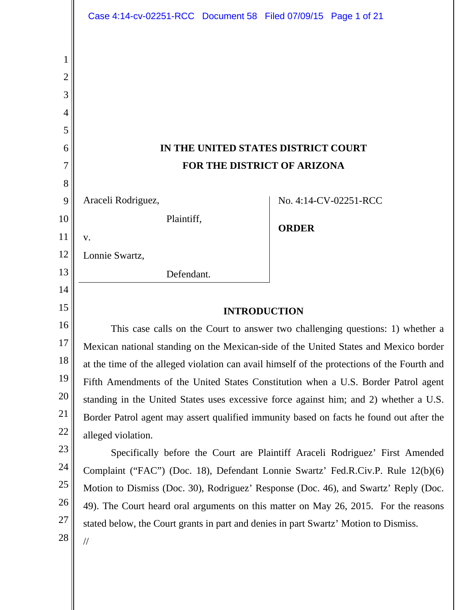|                                      | Case 4:14-cv-02251-RCC Document 58 Filed 07/09/15 Page 1 of 21                                                                                                              |                                                                    |  |
|--------------------------------------|-----------------------------------------------------------------------------------------------------------------------------------------------------------------------------|--------------------------------------------------------------------|--|
| 1<br>2<br>3<br>4<br>5<br>6<br>7<br>8 |                                                                                                                                                                             | IN THE UNITED STATES DISTRICT COURT<br>FOR THE DISTRICT OF ARIZONA |  |
| 9                                    | Araceli Rodriguez,                                                                                                                                                          | No. 4:14-CV-02251-RCC                                              |  |
| 10                                   | Plaintiff,                                                                                                                                                                  | <b>ORDER</b>                                                       |  |
| 11                                   | V.                                                                                                                                                                          |                                                                    |  |
| 12                                   | Lonnie Swartz,                                                                                                                                                              |                                                                    |  |
| 13                                   | Defendant.                                                                                                                                                                  |                                                                    |  |
| 14                                   |                                                                                                                                                                             |                                                                    |  |
| 15                                   | <b>INTRODUCTION</b>                                                                                                                                                         |                                                                    |  |
| 16                                   | This case calls on the Court to answer two challenging questions: 1) whether a                                                                                              |                                                                    |  |
| 17                                   | Mexican national standing on the Mexican-side of the United States and Mexico border                                                                                        |                                                                    |  |
| 18                                   | at the time of the alleged violation can avail himself of the protections of the Fourth and                                                                                 |                                                                    |  |
| 19<br>20                             | Fifth Amendments of the United States Constitution when a U.S. Border Patrol agent                                                                                          |                                                                    |  |
| 21                                   | standing in the United States uses excessive force against him; and 2) whether a U.S.                                                                                       |                                                                    |  |
| 22                                   | Border Patrol agent may assert qualified immunity based on facts he found out after the                                                                                     |                                                                    |  |
| 23                                   | alleged violation.                                                                                                                                                          |                                                                    |  |
| 24                                   | Specifically before the Court are Plaintiff Araceli Rodriguez' First Amended                                                                                                |                                                                    |  |
| 25                                   | Complaint ("FAC") (Doc. 18), Defendant Lonnie Swartz' Fed.R.Civ.P. Rule 12(b)(6)                                                                                            |                                                                    |  |
| 26                                   | Motion to Dismiss (Doc. 30), Rodriguez' Response (Doc. 46), and Swartz' Reply (Doc.                                                                                         |                                                                    |  |
| 27                                   | 49). The Court heard oral arguments on this matter on May 26, 2015. For the reasons<br>stated below, the Court grants in part and denies in part Swartz' Motion to Dismiss. |                                                                    |  |
| 28                                   | $\frac{1}{2}$                                                                                                                                                               |                                                                    |  |
|                                      |                                                                                                                                                                             |                                                                    |  |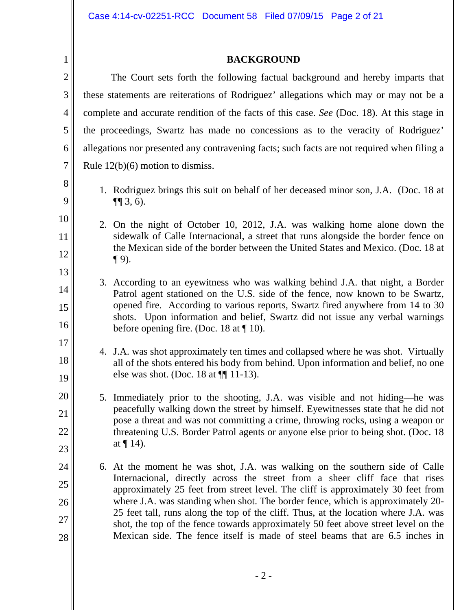# **BACKGROUND**

| $\mathbf{2}$   | The Court sets forth the following factual background and hereby imparts that                                                                                                                                                                              |                                                                                                                                                                    |
|----------------|------------------------------------------------------------------------------------------------------------------------------------------------------------------------------------------------------------------------------------------------------------|--------------------------------------------------------------------------------------------------------------------------------------------------------------------|
| 3              | these statements are reiterations of Rodriguez' allegations which may or may not be a                                                                                                                                                                      |                                                                                                                                                                    |
| 4              | complete and accurate rendition of the facts of this case. See (Doc. 18). At this stage in                                                                                                                                                                 |                                                                                                                                                                    |
| 5              | the proceedings, Swartz has made no concessions as to the veracity of Rodriguez'                                                                                                                                                                           |                                                                                                                                                                    |
| 6              | allegations nor presented any contravening facts; such facts are not required when filing a                                                                                                                                                                |                                                                                                                                                                    |
| $\overline{7}$ | Rule $12(b)(6)$ motion to dismiss.                                                                                                                                                                                                                         |                                                                                                                                                                    |
| $8\,$<br>9     |                                                                                                                                                                                                                                                            | 1. Rodriguez brings this suit on behalf of her deceased minor son, J.A. (Doc. 18 at<br>$\P(3, 6)$ .                                                                |
| 10             |                                                                                                                                                                                                                                                            | 2. On the night of October 10, 2012, J.A. was walking home alone down the                                                                                          |
| 11             |                                                                                                                                                                                                                                                            | sidewalk of Calle Internacional, a street that runs alongside the border fence on                                                                                  |
| 12             |                                                                                                                                                                                                                                                            | the Mexican side of the border between the United States and Mexico. (Doc. 18 at<br>$\P$ 9).                                                                       |
| 13             |                                                                                                                                                                                                                                                            | 3. According to an eyewitness who was walking behind J.A. that night, a Border                                                                                     |
| 14             |                                                                                                                                                                                                                                                            | Patrol agent stationed on the U.S. side of the fence, now known to be Swartz,                                                                                      |
| 15             |                                                                                                                                                                                                                                                            | opened fire. According to various reports, Swartz fired anywhere from 14 to 30<br>shots. Upon information and belief, Swartz did not issue any verbal warnings     |
| 16             |                                                                                                                                                                                                                                                            | before opening fire. (Doc. 18 at $\P$ 10).                                                                                                                         |
| 17             |                                                                                                                                                                                                                                                            | 4. J.A. was shot approximately ten times and collapsed where he was shot. Virtually                                                                                |
| 18             |                                                                                                                                                                                                                                                            | all of the shots entered his body from behind. Upon information and belief, no one<br>else was shot. (Doc. 18 at $\P$ [11-13).                                     |
| 19             |                                                                                                                                                                                                                                                            |                                                                                                                                                                    |
| 20             |                                                                                                                                                                                                                                                            | 5. Immediately prior to the shooting, J.A. was visible and not hiding—he was<br>peacefully walking down the street by himself. Eyewitnesses state that he did not  |
| 21             |                                                                                                                                                                                                                                                            | pose a threat and was not committing a crime, throwing rocks, using a weapon or                                                                                    |
| 22             |                                                                                                                                                                                                                                                            | threatening U.S. Border Patrol agents or anyone else prior to being shot. (Doc. 18)<br>at $\P$ 14).                                                                |
| 23             |                                                                                                                                                                                                                                                            | 6. At the moment he was shot, J.A. was walking on the southern side of Calle                                                                                       |
| 24<br>25       |                                                                                                                                                                                                                                                            | Internacional, directly across the street from a sheer cliff face that rises                                                                                       |
| 26             | approximately 25 feet from street level. The cliff is approximately 30 feet from<br>where J.A. was standing when shot. The border fence, which is approximately 20-<br>25 feet tall, runs along the top of the cliff. Thus, at the location where J.A. was |                                                                                                                                                                    |
| 27             |                                                                                                                                                                                                                                                            |                                                                                                                                                                    |
| 28             |                                                                                                                                                                                                                                                            | shot, the top of the fence towards approximately 50 feet above street level on the<br>Mexican side. The fence itself is made of steel beams that are 6.5 inches in |
|                |                                                                                                                                                                                                                                                            |                                                                                                                                                                    |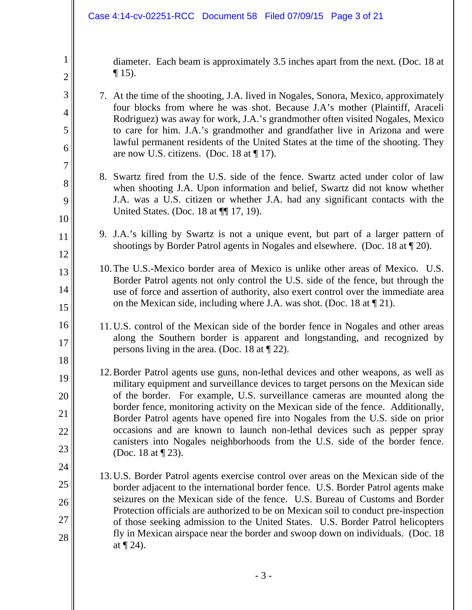2

3

4

5

6

7

8

9

10

11

12

13

14

15

18

diameter. Each beam is approximately 3.5 inches apart from the next. (Doc. 18 at  $\P$  15).

- 7. At the time of the shooting, J.A. lived in Nogales, Sonora, Mexico, approximately four blocks from where he was shot. Because J.A's mother (Plaintiff, Araceli Rodriguez) was away for work, J.A.'s grandmother often visited Nogales, Mexico to care for him. J.A.'s grandmother and grandfather live in Arizona and were lawful permanent residents of the United States at the time of the shooting. They are now U.S. citizens. (Doc. 18 at  $\P$  17).
- 8. Swartz fired from the U.S. side of the fence. Swartz acted under color of law when shooting J.A. Upon information and belief, Swartz did not know whether J.A. was a U.S. citizen or whether J.A. had any significant contacts with the United States. (Doc. 18 at  $\P$  17, 19).
- 9. J.A.'s killing by Swartz is not a unique event, but part of a larger pattern of shootings by Border Patrol agents in Nogales and elsewhere. (Doc. 18 at ¶ 20).
- 10.The U.S.-Mexico border area of Mexico is unlike other areas of Mexico. U.S. Border Patrol agents not only control the U.S. side of the fence, but through the use of force and assertion of authority, also exert control over the immediate area on the Mexican side, including where J.A. was shot. (Doc. 18 at ¶ 21).
- 16 17 11.U.S. control of the Mexican side of the border fence in Nogales and other areas along the Southern border is apparent and longstanding, and recognized by persons living in the area. (Doc. 18 at ¶ 22).
- 19 20 21 22 23 12.Border Patrol agents use guns, non-lethal devices and other weapons, as well as military equipment and surveillance devices to target persons on the Mexican side of the border. For example, U.S. surveillance cameras are mounted along the border fence, monitoring activity on the Mexican side of the fence. Additionally, Border Patrol agents have opened fire into Nogales from the U.S. side on prior occasions and are known to launch non-lethal devices such as pepper spray canisters into Nogales neighborhoods from the U.S. side of the border fence. (Doc. 18 at ¶ 23).
- 24 25 26 27 28 13.U.S. Border Patrol agents exercise control over areas on the Mexican side of the border adjacent to the international border fence. U.S. Border Patrol agents make seizures on the Mexican side of the fence. U.S. Bureau of Customs and Border Protection officials are authorized to be on Mexican soil to conduct pre-inspection of those seeking admission to the United States. U.S. Border Patrol helicopters fly in Mexican airspace near the border and swoop down on individuals. (Doc. 18 at  $\P$  24).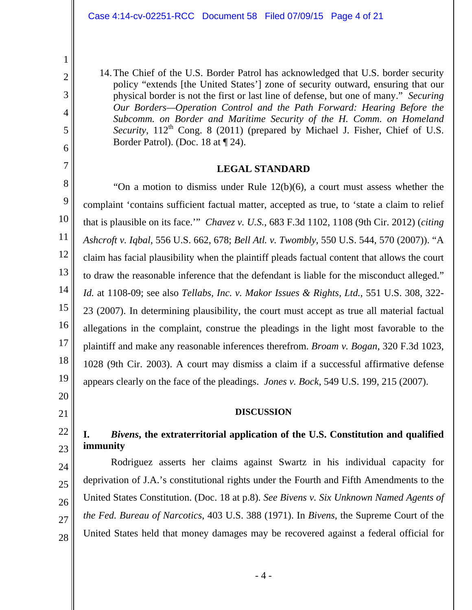14.The Chief of the U.S. Border Patrol has acknowledged that U.S. border security policy "extends [the United States'] zone of security outward, ensuring that our physical border is not the first or last line of defense, but one of many." *Securing Our Borders—Operation Control and the Path Forward: Hearing Before the Subcomm. on Border and Maritime Security of the H. Comm. on Homeland*  Security, 112<sup>th</sup> Cong. 8 (2011) (prepared by Michael J. Fisher, Chief of U.S. Border Patrol). (Doc. 18 at ¶ 24).

### **LEGAL STANDARD**

 "On a motion to dismiss under Rule 12(b)(6), a court must assess whether the complaint 'contains sufficient factual matter, accepted as true, to 'state a claim to relief that is plausible on its face.'" *Chavez v. U.S.*, 683 F.3d 1102, 1108 (9th Cir. 2012) (*citing Ashcroft v. Iqbal,* 556 U.S. 662, 678; *Bell Atl. v. Twombly*, 550 U.S. 544, 570 (2007)). "A claim has facial plausibility when the plaintiff pleads factual content that allows the court to draw the reasonable inference that the defendant is liable for the misconduct alleged." *Id.* at 1108-09; see also *Tellabs, Inc. v. Makor Issues & Rights, Ltd.*, 551 U.S. 308, 322- 23 (2007). In determining plausibility, the court must accept as true all material factual allegations in the complaint, construe the pleadings in the light most favorable to the plaintiff and make any reasonable inferences therefrom. *Broam v. Bogan*, 320 F.3d 1023, 1028 (9th Cir. 2003). A court may dismiss a claim if a successful affirmative defense appears clearly on the face of the pleadings. *Jones v. Bock*, 549 U.S. 199, 215 (2007).

### **DISCUSSION**

# **I.** *Bivens***, the extraterritorial application of the U.S. Constitution and qualified immunity**

 Rodriguez asserts her claims against Swartz in his individual capacity for deprivation of J.A.'s constitutional rights under the Fourth and Fifth Amendments to the United States Constitution. (Doc. 18 at p.8). *See Bivens v. Six Unknown Named Agents of the Fed. Bureau of Narcotics*, 403 U.S. 388 (1971). In *Bivens*, the Supreme Court of the United States held that money damages may be recovered against a federal official for

1

- 24
- 25 26
- 27

28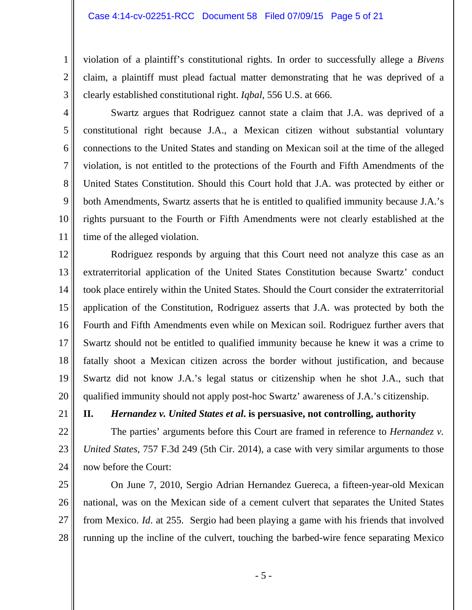violation of a plaintiff's constitutional rights. In order to successfully allege a *Bivens* claim, a plaintiff must plead factual matter demonstrating that he was deprived of a clearly established constitutional right. *Iqbal*, 556 U.S. at 666.

4 5 6 7 8 9 10 11 Swartz argues that Rodriguez cannot state a claim that J.A. was deprived of a constitutional right because J.A., a Mexican citizen without substantial voluntary connections to the United States and standing on Mexican soil at the time of the alleged violation, is not entitled to the protections of the Fourth and Fifth Amendments of the United States Constitution. Should this Court hold that J.A. was protected by either or both Amendments, Swartz asserts that he is entitled to qualified immunity because J.A.'s rights pursuant to the Fourth or Fifth Amendments were not clearly established at the time of the alleged violation.

12 13 14 15 16 17 18 19 20 Rodriguez responds by arguing that this Court need not analyze this case as an extraterritorial application of the United States Constitution because Swartz' conduct took place entirely within the United States. Should the Court consider the extraterritorial application of the Constitution, Rodriguez asserts that J.A. was protected by both the Fourth and Fifth Amendments even while on Mexican soil. Rodriguez further avers that Swartz should not be entitled to qualified immunity because he knew it was a crime to fatally shoot a Mexican citizen across the border without justification, and because Swartz did not know J.A.'s legal status or citizenship when he shot J.A., such that qualified immunity should not apply post-hoc Swartz' awareness of J.A.'s citizenship.

21

1

2

3

**II.** *Hernandez v. United States et al***. is persuasive, not controlling, authority** 

22 23 24 The parties' arguments before this Court are framed in reference to *Hernandez v. United States*, 757 F.3d 249 (5th Cir. 2014), a case with very similar arguments to those now before the Court:

25 26 27 28 On June 7, 2010, Sergio Adrian Hernandez Guereca, a fifteen-year-old Mexican national, was on the Mexican side of a cement culvert that separates the United States from Mexico. *Id*. at 255. Sergio had been playing a game with his friends that involved running up the incline of the culvert, touching the barbed-wire fence separating Mexico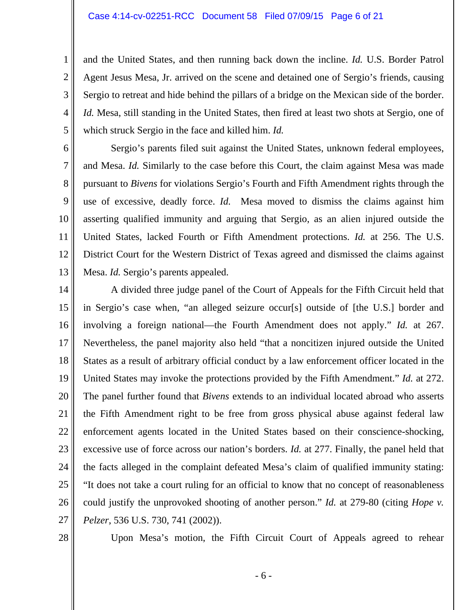and the United States, and then running back down the incline. *Id.* U.S. Border Patrol Agent Jesus Mesa, Jr. arrived on the scene and detained one of Sergio's friends, causing Sergio to retreat and hide behind the pillars of a bridge on the Mexican side of the border. *Id.* Mesa, still standing in the United States, then fired at least two shots at Sergio, one of which struck Sergio in the face and killed him. *Id.* 

6 7 8 9 10 11 12 13 Sergio's parents filed suit against the United States, unknown federal employees, and Mesa. *Id.* Similarly to the case before this Court, the claim against Mesa was made pursuant to *Bivens* for violations Sergio's Fourth and Fifth Amendment rights through the use of excessive, deadly force. *Id.* Mesa moved to dismiss the claims against him asserting qualified immunity and arguing that Sergio, as an alien injured outside the United States, lacked Fourth or Fifth Amendment protections. *Id.* at 256. The U.S. District Court for the Western District of Texas agreed and dismissed the claims against Mesa. *Id.* Sergio's parents appealed.

14 15 16 17 18 19 20 21 22 23 24 25 26 27 A divided three judge panel of the Court of Appeals for the Fifth Circuit held that in Sergio's case when, "an alleged seizure occur[s] outside of [the U.S.] border and involving a foreign national—the Fourth Amendment does not apply." *Id.* at 267. Nevertheless, the panel majority also held "that a noncitizen injured outside the United States as a result of arbitrary official conduct by a law enforcement officer located in the United States may invoke the protections provided by the Fifth Amendment." *Id.* at 272. The panel further found that *Bivens* extends to an individual located abroad who asserts the Fifth Amendment right to be free from gross physical abuse against federal law enforcement agents located in the United States based on their conscience-shocking, excessive use of force across our nation's borders. *Id.* at 277. Finally, the panel held that the facts alleged in the complaint defeated Mesa's claim of qualified immunity stating: "It does not take a court ruling for an official to know that no concept of reasonableness could justify the unprovoked shooting of another person." *Id.* at 279-80 (citing *Hope v. Pelzer*, 536 U.S. 730, 741 (2002)).

28

1

2

3

4

5

Upon Mesa's motion, the Fifth Circuit Court of Appeals agreed to rehear

- 6 -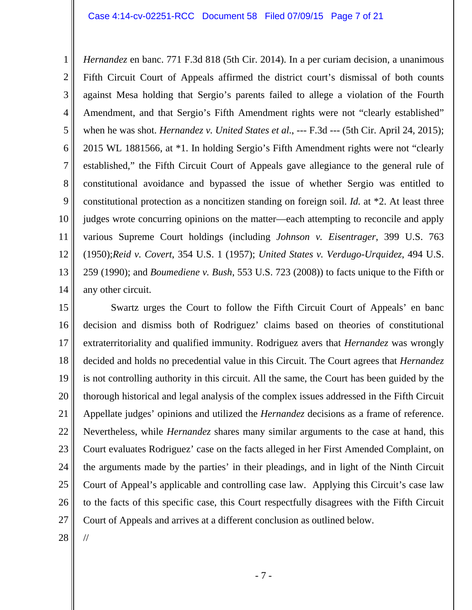#### Case 4:14-cv-02251-RCC Document 58 Filed 07/09/15 Page 7 of 21

1 2 3 4 5 6 7 8 9 10 11 12 13 14 *Hernandez* en banc. 771 F.3d 818 (5th Cir. 2014). In a per curiam decision, a unanimous Fifth Circuit Court of Appeals affirmed the district court's dismissal of both counts against Mesa holding that Sergio's parents failed to allege a violation of the Fourth Amendment, and that Sergio's Fifth Amendment rights were not "clearly established" when he was shot. *Hernandez v. United States et al.*, --- F.3d --- (5th Cir. April 24, 2015); 2015 WL 1881566, at \*1. In holding Sergio's Fifth Amendment rights were not "clearly established," the Fifth Circuit Court of Appeals gave allegiance to the general rule of constitutional avoidance and bypassed the issue of whether Sergio was entitled to constitutional protection as a noncitizen standing on foreign soil. *Id.* at \*2. At least three judges wrote concurring opinions on the matter—each attempting to reconcile and apply various Supreme Court holdings (including *Johnson v. Eisentrager*, 399 U.S. 763 (1950);*Reid v. Covert*, 354 U.S. 1 (1957); *United States v. Verdugo-Urquidez*, 494 U.S. 259 (1990); and *Boumediene v. Bush*, 553 U.S. 723 (2008)) to facts unique to the Fifth or any other circuit.

15 16 17 18 19 20 21 22 23 24 25 26 27 Swartz urges the Court to follow the Fifth Circuit Court of Appeals' en banc decision and dismiss both of Rodriguez' claims based on theories of constitutional extraterritoriality and qualified immunity. Rodriguez avers that *Hernandez* was wrongly decided and holds no precedential value in this Circuit. The Court agrees that *Hernandez*  is not controlling authority in this circuit. All the same, the Court has been guided by the thorough historical and legal analysis of the complex issues addressed in the Fifth Circuit Appellate judges' opinions and utilized the *Hernandez* decisions as a frame of reference. Nevertheless, while *Hernandez* shares many similar arguments to the case at hand, this Court evaluates Rodriguez' case on the facts alleged in her First Amended Complaint, on the arguments made by the parties' in their pleadings, and in light of the Ninth Circuit Court of Appeal's applicable and controlling case law. Applying this Circuit's case law to the facts of this specific case, this Court respectfully disagrees with the Fifth Circuit Court of Appeals and arrives at a different conclusion as outlined below.

28

//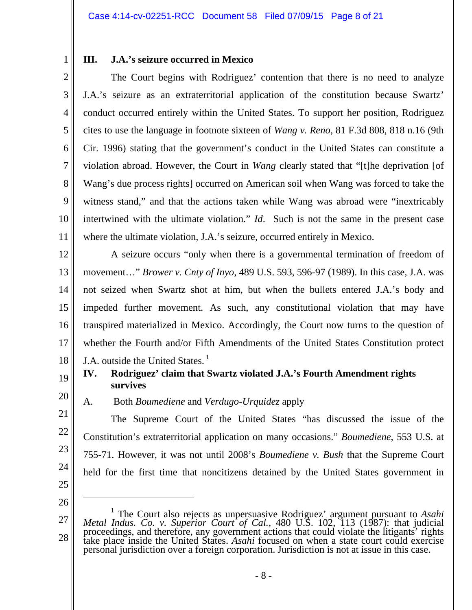## **III. J.A.'s seizure occurred in Mexico**

2 3 4 5 6 7 8 9 10 11 The Court begins with Rodriguez' contention that there is no need to analyze J.A.'s seizure as an extraterritorial application of the constitution because Swartz' conduct occurred entirely within the United States. To support her position, Rodriguez cites to use the language in footnote sixteen of *Wang v. Reno*, 81 F.3d 808, 818 n.16 (9th Cir. 1996) stating that the government's conduct in the United States can constitute a violation abroad. However, the Court in *Wang* clearly stated that "[t]he deprivation [of Wang's due process rights] occurred on American soil when Wang was forced to take the witness stand," and that the actions taken while Wang was abroad were "inextricably" intertwined with the ultimate violation." *Id*. Such is not the same in the present case where the ultimate violation, J.A.'s seizure, occurred entirely in Mexico.

12 13 14 15 16 17 18 A seizure occurs "only when there is a governmental termination of freedom of movement…" *Brower v. Cnty of Inyo*, 489 U.S. 593, 596-97 (1989). In this case, J.A. was not seized when Swartz shot at him, but when the bullets entered J.A.'s body and impeded further movement. As such, any constitutional violation that may have transpired materialized in Mexico. Accordingly, the Court now turns to the question of whether the Fourth and/or Fifth Amendments of the United States Constitution protect J.A. outside the United States.<sup>1</sup>

## **IV. Rodriguez' claim that Swartz violated J.A.'s Fourth Amendment rights survives**

A. Both *Boumediene* and *Verdugo-Urquidez* apply

20 21

22

23

24

19

1

 The Supreme Court of the United States "has discussed the issue of the Constitution's extraterritorial application on many occasions." *Boumediene*, 553 U.S. at 755-71. However, it was not until 2008's *Boumediene v. Bush* that the Supreme Court held for the first time that noncitizens detained by the United States government in

25 26

 $\overline{a}$ 

<sup>27</sup>  28 <sup>1</sup> The Court also rejects as unpersuasive Rodriguez' argument pursuant to *Asahi* Metal Indus. Co. v. Superior Court of Cal., 480 U.S. 102, 113 (1987): that judicial proceedings, and therefore, any government actions that could violate the litigants' rights take place inside the United States. Asahi foc personal jurisdiction over a foreign corporation. Jurisdiction is not at issue in this case.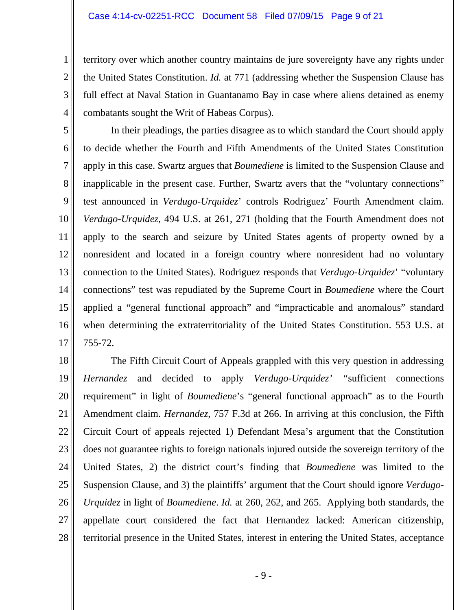2

3

4

territory over which another country maintains de jure sovereignty have any rights under the United States Constitution. *Id.* at 771 (addressing whether the Suspension Clause has full effect at Naval Station in Guantanamo Bay in case where aliens detained as enemy combatants sought the Writ of Habeas Corpus).

5 6 7 8 9 10 11 12 13 14 15 16 17 In their pleadings, the parties disagree as to which standard the Court should apply to decide whether the Fourth and Fifth Amendments of the United States Constitution apply in this case. Swartz argues that *Boumediene* is limited to the Suspension Clause and inapplicable in the present case. Further, Swartz avers that the "voluntary connections" test announced in *Verdugo-Urquidez*' controls Rodriguez' Fourth Amendment claim. *Verdugo-Urquidez*, 494 U.S. at 261, 271 (holding that the Fourth Amendment does not apply to the search and seizure by United States agents of property owned by a nonresident and located in a foreign country where nonresident had no voluntary connection to the United States). Rodriguez responds that *Verdugo-Urquidez*' "voluntary connections" test was repudiated by the Supreme Court in *Boumediene* where the Court applied a "general functional approach" and "impracticable and anomalous" standard when determining the extraterritoriality of the United States Constitution. 553 U.S. at 755-72.

18 19 20 21 22 23 24 25 26 27 28 The Fifth Circuit Court of Appeals grappled with this very question in addressing *Hernandez* and decided to apply *Verdugo-Urquidez' "*sufficient connections requirement" in light of *Boumediene*'s "general functional approach" as to the Fourth Amendment claim. *Hernandez*, 757 F.3d at 266. In arriving at this conclusion, the Fifth Circuit Court of appeals rejected 1) Defendant Mesa's argument that the Constitution does not guarantee rights to foreign nationals injured outside the sovereign territory of the United States, 2) the district court's finding that *Boumediene* was limited to the Suspension Clause, and 3) the plaintiffs' argument that the Court should ignore *Verdugo-Urquidez* in light of *Boumediene*. *Id.* at 260, 262, and 265. Applying both standards, the appellate court considered the fact that Hernandez lacked: American citizenship, territorial presence in the United States, interest in entering the United States, acceptance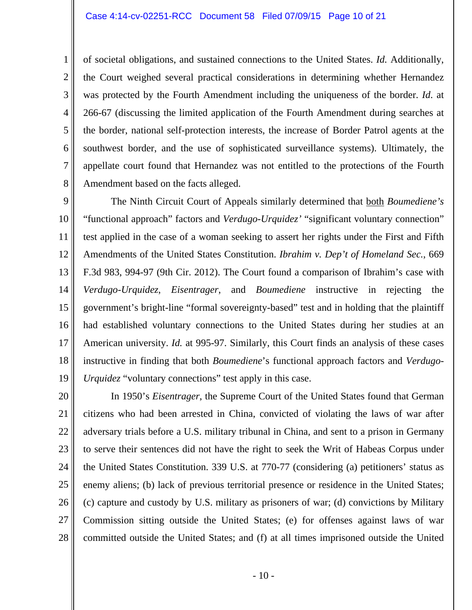2

3

4

5

6

7

8

of societal obligations, and sustained connections to the United States. *Id.* Additionally, the Court weighed several practical considerations in determining whether Hernandez was protected by the Fourth Amendment including the uniqueness of the border. *Id*. at 266-67 (discussing the limited application of the Fourth Amendment during searches at the border, national self-protection interests, the increase of Border Patrol agents at the southwest border, and the use of sophisticated surveillance systems). Ultimately, the appellate court found that Hernandez was not entitled to the protections of the Fourth Amendment based on the facts alleged.

9 10 11 12 13 14 15 16 17 18 19 The Ninth Circuit Court of Appeals similarly determined that both *Boumediene's*  "functional approach" factors and *Verdugo-Urquidez'* "significant voluntary connection" test applied in the case of a woman seeking to assert her rights under the First and Fifth Amendments of the United States Constitution. *Ibrahim v. Dep't of Homeland Sec.*, 669 F.3d 983, 994-97 (9th Cir. 2012). The Court found a comparison of Ibrahim's case with *Verdugo-Urquidez*, *Eisentrager*, and *Boumediene* instructive in rejecting the government's bright-line "formal sovereignty-based" test and in holding that the plaintiff had established voluntary connections to the United States during her studies at an American university. *Id.* at 995-97. Similarly, this Court finds an analysis of these cases instructive in finding that both *Boumediene*'s functional approach factors and *Verdugo-Urquidez* "voluntary connections" test apply in this case.

20 21 22 23 24 25 26 27 28 In 1950's *Eisentrager*, the Supreme Court of the United States found that German citizens who had been arrested in China, convicted of violating the laws of war after adversary trials before a U.S. military tribunal in China, and sent to a prison in Germany to serve their sentences did not have the right to seek the Writ of Habeas Corpus under the United States Constitution. 339 U.S. at 770-77 (considering (a) petitioners' status as enemy aliens; (b) lack of previous territorial presence or residence in the United States; (c) capture and custody by U.S. military as prisoners of war; (d) convictions by Military Commission sitting outside the United States; (e) for offenses against laws of war committed outside the United States; and (f) at all times imprisoned outside the United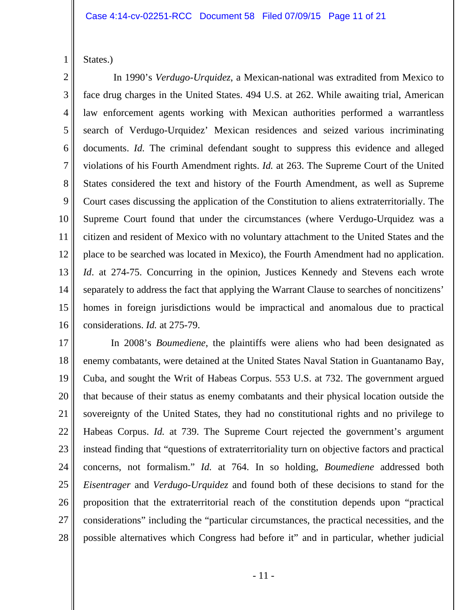States.)

1

2 3 4 5 6 7 8 9 10 11 12 13 14 15 16 In 1990's *Verdugo-Urquidez*, a Mexican-national was extradited from Mexico to face drug charges in the United States. 494 U.S. at 262. While awaiting trial, American law enforcement agents working with Mexican authorities performed a warrantless search of Verdugo-Urquidez' Mexican residences and seized various incriminating documents. *Id.* The criminal defendant sought to suppress this evidence and alleged violations of his Fourth Amendment rights. *Id.* at 263. The Supreme Court of the United States considered the text and history of the Fourth Amendment, as well as Supreme Court cases discussing the application of the Constitution to aliens extraterritorially. The Supreme Court found that under the circumstances (where Verdugo-Urquidez was a citizen and resident of Mexico with no voluntary attachment to the United States and the place to be searched was located in Mexico), the Fourth Amendment had no application. *Id*. at 274-75. Concurring in the opinion, Justices Kennedy and Stevens each wrote separately to address the fact that applying the Warrant Clause to searches of noncitizens' homes in foreign jurisdictions would be impractical and anomalous due to practical considerations. *Id.* at 275-79.

17 18 19 20 21 22 23 24 25 26 27 28 In 2008's *Boumediene*, the plaintiffs were aliens who had been designated as enemy combatants, were detained at the United States Naval Station in Guantanamo Bay, Cuba, and sought the Writ of Habeas Corpus. 553 U.S. at 732. The government argued that because of their status as enemy combatants and their physical location outside the sovereignty of the United States, they had no constitutional rights and no privilege to Habeas Corpus. *Id.* at 739. The Supreme Court rejected the government's argument instead finding that "questions of extraterritoriality turn on objective factors and practical concerns, not formalism." *Id.* at 764. In so holding, *Boumediene* addressed both *Eisentrager* and *Verdugo-Urquidez* and found both of these decisions to stand for the proposition that the extraterritorial reach of the constitution depends upon "practical considerations" including the "particular circumstances, the practical necessities, and the possible alternatives which Congress had before it" and in particular, whether judicial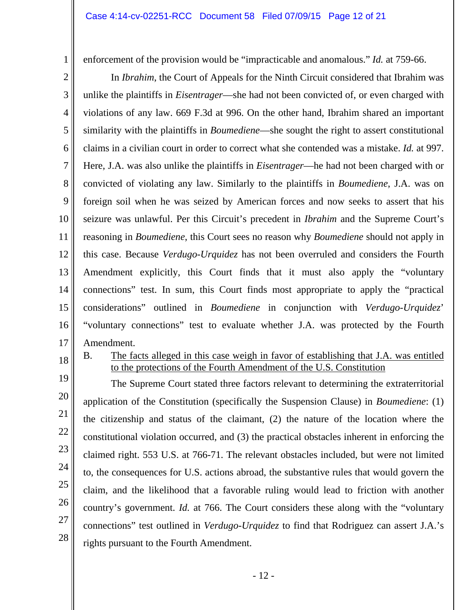enforcement of the provision would be "impracticable and anomalous." *Id.* at 759-66.

2 3 4 5 6 7 8 9 10 11 12 13 14 15 16 17 In *Ibrahim*, the Court of Appeals for the Ninth Circuit considered that Ibrahim was unlike the plaintiffs in *Eisentrager*—she had not been convicted of, or even charged with violations of any law. 669 F.3d at 996. On the other hand, Ibrahim shared an important similarity with the plaintiffs in *Boumediene*—she sought the right to assert constitutional claims in a civilian court in order to correct what she contended was a mistake. *Id.* at 997. Here, J.A. was also unlike the plaintiffs in *Eisentrager*—he had not been charged with or convicted of violating any law. Similarly to the plaintiffs in *Boumediene*, J.A. was on foreign soil when he was seized by American forces and now seeks to assert that his seizure was unlawful. Per this Circuit's precedent in *Ibrahim* and the Supreme Court's reasoning in *Boumediene*, this Court sees no reason why *Boumediene* should not apply in this case. Because *Verdugo-Urquidez* has not been overruled and considers the Fourth Amendment explicitly, this Court finds that it must also apply the "voluntary connections" test. In sum, this Court finds most appropriate to apply the "practical considerations" outlined in *Boumediene* in conjunction with *Verdugo-Urquidez*' "voluntary connections" test to evaluate whether J.A. was protected by the Fourth Amendment.

- 18
- B. The facts alleged in this case weigh in favor of establishing that J.A. was entitled to the protections of the Fourth Amendment of the U.S. Constitution

19 20 21 22 23 24 25 26 27 28 The Supreme Court stated three factors relevant to determining the extraterritorial application of the Constitution (specifically the Suspension Clause) in *Boumediene*: (1) the citizenship and status of the claimant, (2) the nature of the location where the constitutional violation occurred, and (3) the practical obstacles inherent in enforcing the claimed right. 553 U.S. at 766-71. The relevant obstacles included, but were not limited to, the consequences for U.S. actions abroad, the substantive rules that would govern the claim, and the likelihood that a favorable ruling would lead to friction with another country's government. *Id.* at 766. The Court considers these along with the "voluntary connections" test outlined in *Verdugo-Urquidez* to find that Rodriguez can assert J.A.'s rights pursuant to the Fourth Amendment.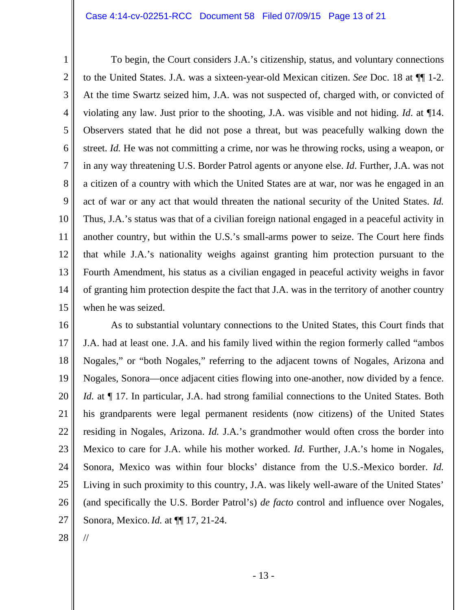#### Case 4:14-cv-02251-RCC Document 58 Filed 07/09/15 Page 13 of 21

1 2 3 4 5 6 7 8 9 10 11 12 13 14 15 To begin, the Court considers J.A.'s citizenship, status, and voluntary connections to the United States. J.A. was a sixteen-year-old Mexican citizen. *See* Doc. 18 at ¶¶ 1-2. At the time Swartz seized him, J.A. was not suspected of, charged with, or convicted of violating any law. Just prior to the shooting, J.A. was visible and not hiding. *Id*. at ¶14. Observers stated that he did not pose a threat, but was peacefully walking down the street. *Id.* He was not committing a crime, nor was he throwing rocks, using a weapon, or in any way threatening U.S. Border Patrol agents or anyone else. *Id*. Further, J.A. was not a citizen of a country with which the United States are at war, nor was he engaged in an act of war or any act that would threaten the national security of the United States. *Id.*  Thus, J.A.'s status was that of a civilian foreign national engaged in a peaceful activity in another country, but within the U.S.'s small-arms power to seize. The Court here finds that while J.A.'s nationality weighs against granting him protection pursuant to the Fourth Amendment, his status as a civilian engaged in peaceful activity weighs in favor of granting him protection despite the fact that J.A. was in the territory of another country when he was seized.

16 17 18 19 20 21 22 23 24 25 26 27 As to substantial voluntary connections to the United States, this Court finds that J.A. had at least one. J.A. and his family lived within the region formerly called "ambos Nogales," or "both Nogales," referring to the adjacent towns of Nogales, Arizona and Nogales, Sonora—once adjacent cities flowing into one-another, now divided by a fence. *Id.* at  $\P$  17. In particular, J.A. had strong familial connections to the United States. Both his grandparents were legal permanent residents (now citizens) of the United States residing in Nogales, Arizona. *Id.* J.A.'s grandmother would often cross the border into Mexico to care for J.A. while his mother worked. *Id.* Further, J.A.'s home in Nogales, Sonora, Mexico was within four blocks' distance from the U.S.-Mexico border. *Id.* Living in such proximity to this country, J.A. was likely well-aware of the United States' (and specifically the U.S. Border Patrol's) *de facto* control and influence over Nogales, Sonora, Mexico.*Id.* at ¶¶ 17, 21-24.

28

//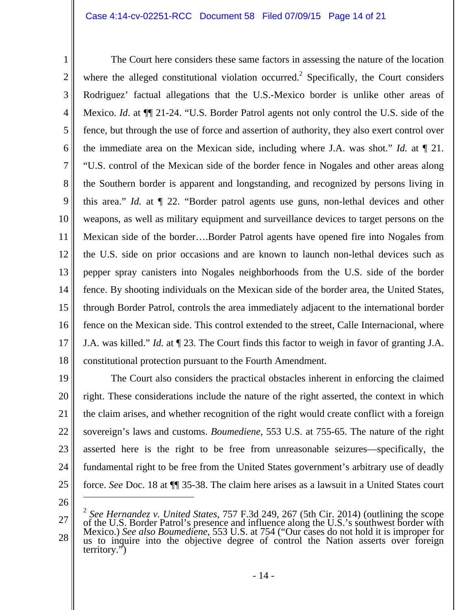### Case 4:14-cv-02251-RCC Document 58 Filed 07/09/15 Page 14 of 21

1 2 3 4 5 6 7 8 9 10 11 12 13 14 15 16 17 18 The Court here considers these same factors in assessing the nature of the location where the alleged constitutional violation occurred.<sup>2</sup> Specifically, the Court considers Rodriguez' factual allegations that the U.S.-Mexico border is unlike other areas of Mexico. *Id*. at ¶¶ 21-24. "U.S. Border Patrol agents not only control the U.S. side of the fence, but through the use of force and assertion of authority, they also exert control over the immediate area on the Mexican side, including where J.A. was shot." *Id.* at ¶ 21. "U.S. control of the Mexican side of the border fence in Nogales and other areas along the Southern border is apparent and longstanding, and recognized by persons living in this area." *Id.* at ¶ 22. "Border patrol agents use guns, non-lethal devices and other weapons, as well as military equipment and surveillance devices to target persons on the Mexican side of the border….Border Patrol agents have opened fire into Nogales from the U.S. side on prior occasions and are known to launch non-lethal devices such as pepper spray canisters into Nogales neighborhoods from the U.S. side of the border fence. By shooting individuals on the Mexican side of the border area, the United States, through Border Patrol, controls the area immediately adjacent to the international border fence on the Mexican side. This control extended to the street, Calle Internacional, where J.A. was killed." *Id.* at ¶ 23. The Court finds this factor to weigh in favor of granting J.A. constitutional protection pursuant to the Fourth Amendment.

19 20 21 22 23 24 25 The Court also considers the practical obstacles inherent in enforcing the claimed right. These considerations include the nature of the right asserted, the context in which the claim arises, and whether recognition of the right would create conflict with a foreign sovereign's laws and customs. *Boumediene*, 553 U.S. at 755-65. The nature of the right asserted here is the right to be free from unreasonable seizures—specifically, the fundamental right to be free from the United States government's arbitrary use of deadly force. *See* Doc. 18 at ¶¶ 35-38. The claim here arises as a lawsuit in a United States court

26

 $\overline{a}$ 

27 28 <sup>2</sup> *See Hernandez v. United States*, 757 F.3d 249, 267 (5th Cir. 2014) (outlining the scope of the U.S. Border Patrol's presence and influence along the U.S.'s southwest border with Mexico.) *See also Boumediene*, 553 U.S. at 754 ("Our cases do not hold it is improper for us to inquire into the objective degree of control the Nation asserts over foreign territory.")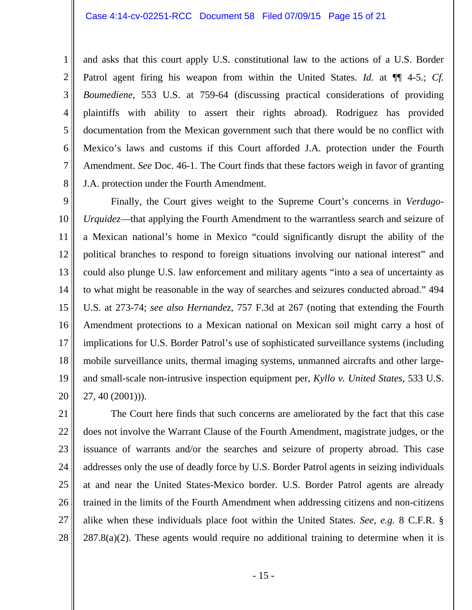1 2 3 4 5 6 7 8 and asks that this court apply U.S. constitutional law to the actions of a U.S. Border Patrol agent firing his weapon from within the United States. *Id.* at  $\P$  4-5.; *Cf. Boumediene*, 553 U.S. at 759-64 (discussing practical considerations of providing plaintiffs with ability to assert their rights abroad). Rodriguez has provided documentation from the Mexican government such that there would be no conflict with Mexico's laws and customs if this Court afforded J.A. protection under the Fourth Amendment. *See* Doc. 46-1. The Court finds that these factors weigh in favor of granting J.A. protection under the Fourth Amendment.

9 10 11 12 13 14 15 16 17 18 19 20 Finally, the Court gives weight to the Supreme Court's concerns in *Verdugo-Urquidez*—that applying the Fourth Amendment to the warrantless search and seizure of a Mexican national's home in Mexico "could significantly disrupt the ability of the political branches to respond to foreign situations involving our national interest" and could also plunge U.S. law enforcement and military agents "into a sea of uncertainty as to what might be reasonable in the way of searches and seizures conducted abroad." 494 U.S. at 273-74; *see also Hernandez*, 757 F.3d at 267 (noting that extending the Fourth Amendment protections to a Mexican national on Mexican soil might carry a host of implications for U.S. Border Patrol's use of sophisticated surveillance systems (including mobile surveillance units, thermal imaging systems, unmanned aircrafts and other largeand small-scale non-intrusive inspection equipment per, *Kyllo v. United States*, 533 U.S. 27, 40 (2001))).

21 22 23 24 25 26 27 28 The Court here finds that such concerns are ameliorated by the fact that this case does not involve the Warrant Clause of the Fourth Amendment, magistrate judges, or the issuance of warrants and/or the searches and seizure of property abroad. This case addresses only the use of deadly force by U.S. Border Patrol agents in seizing individuals at and near the United States-Mexico border. U.S. Border Patrol agents are already trained in the limits of the Fourth Amendment when addressing citizens and non-citizens alike when these individuals place foot within the United States. *See, e.g.* 8 C.F.R. § 287.8(a)(2). These agents would require no additional training to determine when it is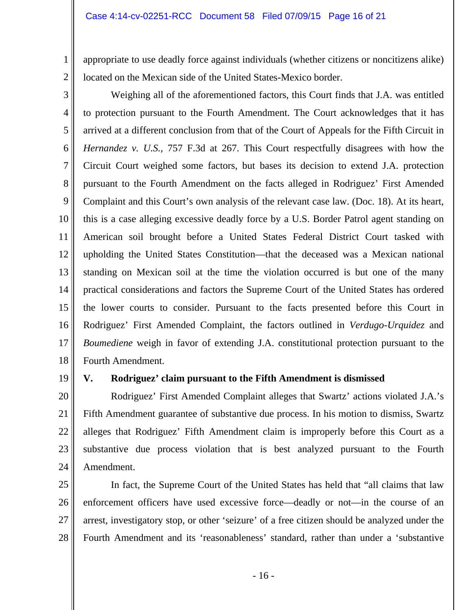appropriate to use deadly force against individuals (whether citizens or noncitizens alike) located on the Mexican side of the United States-Mexico border.

3 4 5 6 7 8 9 10 11 12 13 14 15 16 17 18 Weighing all of the aforementioned factors, this Court finds that J.A. was entitled to protection pursuant to the Fourth Amendment. The Court acknowledges that it has arrived at a different conclusion from that of the Court of Appeals for the Fifth Circuit in *Hernandez v. U.S.*, 757 F.3d at 267. This Court respectfully disagrees with how the Circuit Court weighed some factors, but bases its decision to extend J.A. protection pursuant to the Fourth Amendment on the facts alleged in Rodriguez' First Amended Complaint and this Court's own analysis of the relevant case law. (Doc. 18). At its heart, this is a case alleging excessive deadly force by a U.S. Border Patrol agent standing on American soil brought before a United States Federal District Court tasked with upholding the United States Constitution—that the deceased was a Mexican national standing on Mexican soil at the time the violation occurred is but one of the many practical considerations and factors the Supreme Court of the United States has ordered the lower courts to consider. Pursuant to the facts presented before this Court in Rodriguez' First Amended Complaint, the factors outlined in *Verdugo-Urquidez* and *Boumediene* weigh in favor of extending J.A. constitutional protection pursuant to the Fourth Amendment.

19

1

2

## **V. Rodriguez' claim pursuant to the Fifth Amendment is dismissed**

20 21 22 23 24 Rodriguez' First Amended Complaint alleges that Swartz' actions violated J.A.'s Fifth Amendment guarantee of substantive due process. In his motion to dismiss, Swartz alleges that Rodriguez' Fifth Amendment claim is improperly before this Court as a substantive due process violation that is best analyzed pursuant to the Fourth Amendment.

25 26 27 28 In fact, the Supreme Court of the United States has held that "all claims that law enforcement officers have used excessive force—deadly or not—in the course of an arrest, investigatory stop, or other 'seizure' of a free citizen should be analyzed under the Fourth Amendment and its 'reasonableness' standard, rather than under a 'substantive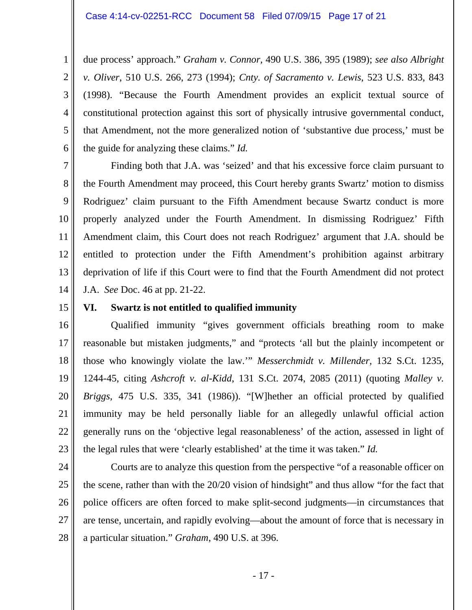1 2 3 4 5 6 due process' approach." *Graham v. Connor,* 490 U.S. 386, 395 (1989); *see also Albright v. Oliver*, 510 U.S. 266, 273 (1994); *Cnty. of Sacramento v. Lewis*, 523 U.S. 833, 843 (1998). "Because the Fourth Amendment provides an explicit textual source of constitutional protection against this sort of physically intrusive governmental conduct, that Amendment, not the more generalized notion of 'substantive due process,' must be the guide for analyzing these claims." *Id.* 

7 8 9 10 11 12 13 14 Finding both that J.A. was 'seized' and that his excessive force claim pursuant to the Fourth Amendment may proceed, this Court hereby grants Swartz' motion to dismiss Rodriguez' claim pursuant to the Fifth Amendment because Swartz conduct is more properly analyzed under the Fourth Amendment. In dismissing Rodriguez' Fifth Amendment claim, this Court does not reach Rodriguez' argument that J.A. should be entitled to protection under the Fifth Amendment's prohibition against arbitrary deprivation of life if this Court were to find that the Fourth Amendment did not protect J.A. *See* Doc. 46 at pp. 21-22.

15

### **VI. Swartz is not entitled to qualified immunity**

16 17 18 19 20 21 22 23 Qualified immunity "gives government officials breathing room to make reasonable but mistaken judgments," and "protects 'all but the plainly incompetent or those who knowingly violate the law.'" *Messerchmidt v. Millender*, 132 S.Ct. 1235, 1244-45, citing *Ashcroft v. al-Kidd*, 131 S.Ct. 2074, 2085 (2011) (quoting *Malley v. Briggs*, 475 U.S. 335, 341 (1986)). "[W]hether an official protected by qualified immunity may be held personally liable for an allegedly unlawful official action generally runs on the 'objective legal reasonableness' of the action, assessed in light of the legal rules that were 'clearly established' at the time it was taken." *Id.* 

24 25 26 27 28 Courts are to analyze this question from the perspective "of a reasonable officer on the scene, rather than with the 20/20 vision of hindsight" and thus allow "for the fact that police officers are often forced to make split-second judgments—in circumstances that are tense, uncertain, and rapidly evolving—about the amount of force that is necessary in a particular situation." *Graham*, 490 U.S. at 396.

- 17 -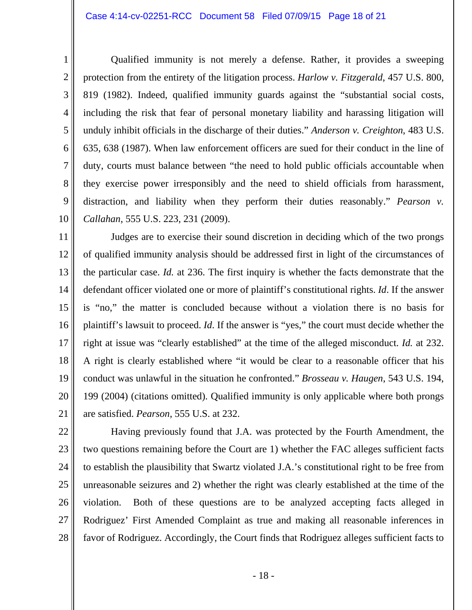Qualified immunity is not merely a defense. Rather, it provides a sweeping protection from the entirety of the litigation process. *Harlow v. Fitzgerald*, 457 U.S. 800, 819 (1982). Indeed, qualified immunity guards against the "substantial social costs, including the risk that fear of personal monetary liability and harassing litigation will unduly inhibit officials in the discharge of their duties." *Anderson v. Creighton*, 483 U.S. 635, 638 (1987). When law enforcement officers are sued for their conduct in the line of duty, courts must balance between "the need to hold public officials accountable when they exercise power irresponsibly and the need to shield officials from harassment, distraction, and liability when they perform their duties reasonably." *Pearson v. Callahan*, 555 U.S. 223, 231 (2009).

11 12 13 14 15 16 17 18 19 20 21 Judges are to exercise their sound discretion in deciding which of the two prongs of qualified immunity analysis should be addressed first in light of the circumstances of the particular case. *Id.* at 236. The first inquiry is whether the facts demonstrate that the defendant officer violated one or more of plaintiff's constitutional rights. *Id*. If the answer is "no," the matter is concluded because without a violation there is no basis for plaintiff's lawsuit to proceed. *Id*. If the answer is "yes," the court must decide whether the right at issue was "clearly established" at the time of the alleged misconduct. *Id.* at 232. A right is clearly established where "it would be clear to a reasonable officer that his conduct was unlawful in the situation he confronted." *Brosseau v. Haugen*, 543 U.S. 194, 199 (2004) (citations omitted). Qualified immunity is only applicable where both prongs are satisfied. *Pearson*, 555 U.S. at 232.

22 23

1

2

3

4

5

6

7

8

9

10

24 25 26 27 28 Having previously found that J.A. was protected by the Fourth Amendment, the two questions remaining before the Court are 1) whether the FAC alleges sufficient facts to establish the plausibility that Swartz violated J.A.'s constitutional right to be free from unreasonable seizures and 2) whether the right was clearly established at the time of the violation. Both of these questions are to be analyzed accepting facts alleged in Rodriguez' First Amended Complaint as true and making all reasonable inferences in favor of Rodriguez. Accordingly, the Court finds that Rodriguez alleges sufficient facts to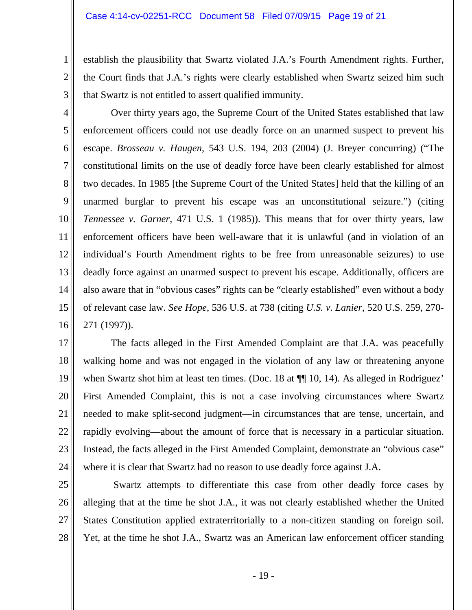establish the plausibility that Swartz violated J.A.'s Fourth Amendment rights. Further, the Court finds that J.A.'s rights were clearly established when Swartz seized him such that Swartz is not entitled to assert qualified immunity.

3 4

1

2

5 6 7 8 9 10 11 12 13 14 15 16 Over thirty years ago, the Supreme Court of the United States established that law enforcement officers could not use deadly force on an unarmed suspect to prevent his escape. *Brosseau v. Haugen*, 543 U.S. 194, 203 (2004) (J. Breyer concurring) ("The constitutional limits on the use of deadly force have been clearly established for almost two decades. In 1985 [the Supreme Court of the United States] held that the killing of an unarmed burglar to prevent his escape was an unconstitutional seizure.") (citing *Tennessee v. Garner*, 471 U.S. 1 (1985)). This means that for over thirty years, law enforcement officers have been well-aware that it is unlawful (and in violation of an individual's Fourth Amendment rights to be free from unreasonable seizures) to use deadly force against an unarmed suspect to prevent his escape. Additionally, officers are also aware that in "obvious cases" rights can be "clearly established" even without a body of relevant case law. *See Hope*, 536 U.S. at 738 (citing *U.S. v. Lanier*, 520 U.S. 259, 270- 271 (1997)).

17 18 19 20 21 22 23 24 The facts alleged in the First Amended Complaint are that J.A. was peacefully walking home and was not engaged in the violation of any law or threatening anyone when Swartz shot him at least ten times. (Doc. 18 at  $\P$  10, 14). As alleged in Rodriguez' First Amended Complaint, this is not a case involving circumstances where Swartz needed to make split-second judgment—in circumstances that are tense, uncertain, and rapidly evolving—about the amount of force that is necessary in a particular situation. Instead, the facts alleged in the First Amended Complaint, demonstrate an "obvious case" where it is clear that Swartz had no reason to use deadly force against J.A.

25

26 27 28 Swartz attempts to differentiate this case from other deadly force cases by alleging that at the time he shot J.A., it was not clearly established whether the United States Constitution applied extraterritorially to a non-citizen standing on foreign soil. Yet, at the time he shot J.A., Swartz was an American law enforcement officer standing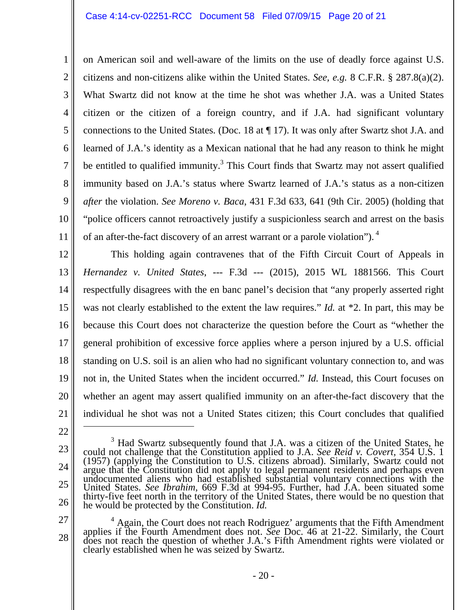1 2 3 4 5 6 7 8 9 10 11 on American soil and well-aware of the limits on the use of deadly force against U.S. citizens and non-citizens alike within the United States. *See, e.g.* 8 C.F.R. § 287.8(a)(2). What Swartz did not know at the time he shot was whether J.A. was a United States citizen or the citizen of a foreign country, and if J.A. had significant voluntary connections to the United States. (Doc. 18 at ¶ 17). It was only after Swartz shot J.A. and learned of J.A.'s identity as a Mexican national that he had any reason to think he might be entitled to qualified immunity. $3$  This Court finds that Swartz may not assert qualified immunity based on J.A.'s status where Swartz learned of J.A.'s status as a non-citizen *after* the violation. *See Moreno v. Baca*, 431 F.3d 633, 641 (9th Cir. 2005) (holding that "police officers cannot retroactively justify a suspicionless search and arrest on the basis of an after-the-fact discovery of an arrest warrant or a parole violation").<sup>4</sup>

12 13 14 15 16 17 18 19 20 21 This holding again contravenes that of the Fifth Circuit Court of Appeals in *Hernandez v. United States*, --- F.3d --- (2015), 2015 WL 1881566. This Court respectfully disagrees with the en banc panel's decision that "any properly asserted right was not clearly established to the extent the law requires." *Id.* at \*2. In part, this may be because this Court does not characterize the question before the Court as "whether the general prohibition of excessive force applies where a person injured by a U.S. official standing on U.S. soil is an alien who had no significant voluntary connection to, and was not in, the United States when the incident occurred." *Id.* Instead, this Court focuses on whether an agent may assert qualified immunity on an after-the-fact discovery that the individual he shot was not a United States citizen; this Court concludes that qualified

- 23
- 24
- 25
- 26

<sup>3</sup> Had Swartz subsequently found that J.A. was a citizen of the United States, he could not challenge that the Constitution applied to J.A. *See Reid v. Covert*, 354 U.S. 1 (1957) (applying the Constitution to U.S. citizens abroad). Similarly, Swartz could not argue that the Constitution did not apply to legal permanent residents and perhaps even<br>undocumented aliens who had established substantial voluntary connections with the<br>United States. *See Ibrahim*, 669 F.3d at 994-95. F United States. *See Ibrahim*, 669 F.3d at 994-95. Further, had J.A. been situated some thirty-five feet north in the territory of the United States, there would be no question that he would be protected by the Constitution

27 28 <sup>4</sup> Again, the Court does not reach Rodriguez' arguments that the Fifth Amendment applies if the Fourth Amendment does not. See Doc. 46 at 21-22. Similarly, the Court does not reach the question of whether J.A.'s Fifth Amendment rights were violated or clearly established when he was seized by Swartz.

<sup>22</sup>